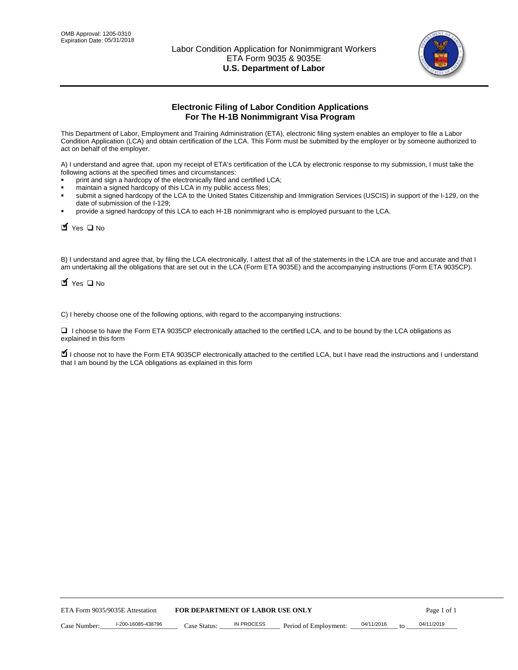

# **Electronic Filing of Labor Condition Applications For The H-1B Nonimmigrant Visa Program**

This Department of Labor, Employment and Training Administration (ETA), electronic filing system enables an employer to file a Labor Condition Application (LCA) and obtain certification of the LCA. This Form must be submitted by the employer or by someone authorized to act on behalf of the employer.

A) I understand and agree that, upon my receipt of ETA's certification of the LCA by electronic response to my submission, I must take the following actions at the specified times and circumstances:

- print and sign a hardcopy of the electronically filed and certified LCA;
- maintain a signed hardcopy of this LCA in my public access files;
- submit a signed hardcopy of the LCA to the United States Citizenship and Immigration Services (USCIS) in support of the I-129, on the date of submission of the I-129;
- provide a signed hardcopy of this LCA to each H-1B nonimmigrant who is employed pursuant to the LCA.

| Case Number:                    | I-200-16085-438796                                               | Case Status:                            | <b>IN PROCESS</b> | Period of Employment:                                                                                                                                                                                                                                                               | 04/11/2016 | 04/11/2019<br>to |             |
|---------------------------------|------------------------------------------------------------------|-----------------------------------------|-------------------|-------------------------------------------------------------------------------------------------------------------------------------------------------------------------------------------------------------------------------------------------------------------------------------|------------|------------------|-------------|
| ETA Form 9035/9035E Attestation |                                                                  | <b>FOR DEPARTMENT OF LABOR USE ONLY</b> |                   |                                                                                                                                                                                                                                                                                     |            |                  | Page 1 of 1 |
|                                 |                                                                  |                                         |                   |                                                                                                                                                                                                                                                                                     |            |                  |             |
|                                 |                                                                  |                                         |                   |                                                                                                                                                                                                                                                                                     |            |                  |             |
|                                 |                                                                  |                                         |                   |                                                                                                                                                                                                                                                                                     |            |                  |             |
|                                 |                                                                  |                                         |                   |                                                                                                                                                                                                                                                                                     |            |                  |             |
|                                 |                                                                  |                                         |                   |                                                                                                                                                                                                                                                                                     |            |                  |             |
|                                 |                                                                  |                                         |                   |                                                                                                                                                                                                                                                                                     |            |                  |             |
|                                 |                                                                  |                                         |                   |                                                                                                                                                                                                                                                                                     |            |                  |             |
|                                 | that I am bound by the LCA obligations as explained in this form |                                         |                   | I choose not to have the Form ETA 9035CP electronically attached to the certified LCA, but I have read the instructions and I unders                                                                                                                                                |            |                  |             |
| explained in this form          |                                                                  |                                         |                   | □ I choose to have the Form ETA 9035CP electronically attached to the certified LCA, and to be bound by the LCA obligations as                                                                                                                                                      |            |                  |             |
|                                 |                                                                  |                                         |                   | C) I hereby choose one of the following options, with regard to the accompanying instructions:                                                                                                                                                                                      |            |                  |             |
| $\blacksquare$ Yes $\square$ No |                                                                  |                                         |                   |                                                                                                                                                                                                                                                                                     |            |                  |             |
|                                 |                                                                  |                                         |                   | B) I understand and agree that, by filing the LCA electronically, I attest that all of the statements in the LCA are true and accurate and the<br>am undertaking all the obligations that are set out in the LCA (Form ETA 9035E) and the accompanying instructions (Form ETA 9035C |            |                  |             |
| Yes ONO                         |                                                                  |                                         |                   |                                                                                                                                                                                                                                                                                     |            |                  |             |
|                                 |                                                                  |                                         |                   |                                                                                                                                                                                                                                                                                     |            |                  |             |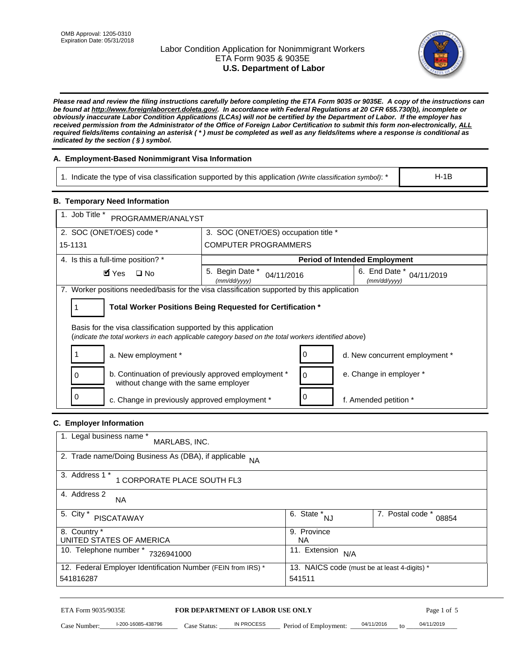# Labor Condition Application for Nonimmigrant Workers ETA Form 9035 & 9035E **U.S. Department of Labor**



*Please read and review the filing instructions carefully before completing the ETA Form 9035 or 9035E. A copy of the instructions can be found at http://www.foreignlaborcert.doleta.gov/. In accordance with Federal Regulations at 20 CFR 655.730(b), incomplete or obviously inaccurate Labor Condition Applications (LCAs) will not be certified by the Department of Labor. If the employer has received permission from the Administrator of the Office of Foreign Labor Certification to submit this form non-electronically, ALL required fields/items containing an asterisk ( \* ) must be completed as well as any fields/items where a response is conditional as indicated by the section ( § ) symbol.* 

# **A. Employment-Based Nonimmigrant Visa Information**

1. Indicate the type of visa classification supported by this application *(Write classification symbol)*: \*

#### **B. Temporary Need Information**

| 1. Indicate the type of visa classification supported by this application (Write classification symbol): *                                                              |                                                            |                                                 | $H-1B$                    |
|-------------------------------------------------------------------------------------------------------------------------------------------------------------------------|------------------------------------------------------------|-------------------------------------------------|---------------------------|
| <b>B. Temporary Need Information</b>                                                                                                                                    |                                                            |                                                 |                           |
| 1. Job Title *<br>PROGRAMMER/ANALYST                                                                                                                                    |                                                            |                                                 |                           |
| 2. SOC (ONET/OES) code *                                                                                                                                                | 3. SOC (ONET/OES) occupation title *                       |                                                 |                           |
| 15-1131                                                                                                                                                                 | <b>COMPUTER PROGRAMMERS</b>                                |                                                 |                           |
| 4. Is this a full-time position? *                                                                                                                                      |                                                            | <b>Period of Intended Employment</b>            |                           |
| $\blacksquare$ Yes<br>$\square$ No                                                                                                                                      | 5. Begin Date *<br>04/11/2016<br>(mm/dd/yyyy)              | 6. End Date *<br>(mm/dd/yyyy)                   | 04/11/2019                |
| 7. Worker positions needed/basis for the visa classification supported by this application                                                                              |                                                            |                                                 |                           |
| 1                                                                                                                                                                       | Total Worker Positions Being Requested for Certification * |                                                 |                           |
| Basis for the visa classification supported by this application<br>(indicate the total workers in each applicable category based on the total workers identified above) |                                                            |                                                 |                           |
| 1<br>a. New employment *                                                                                                                                                | 0                                                          | d. New concurrent employment *                  |                           |
| b. Continuation of previously approved employment *<br>0<br>without change with the same employer                                                                       |                                                            | e. Change in employer *<br>0                    |                           |
| 0<br>c. Change in previously approved employment *                                                                                                                      | 0                                                          | f. Amended petition *                           |                           |
| C. Employer Information                                                                                                                                                 |                                                            |                                                 |                           |
| 1. Legal business name *<br>MARLABS, INC.                                                                                                                               |                                                            |                                                 |                           |
| 2. Trade name/Doing Business As (DBA), if applicable NA                                                                                                                 |                                                            |                                                 |                           |
| 3. Address 1 *<br>1 CORPORATE PLACE SOUTH FL3                                                                                                                           |                                                            |                                                 |                           |
| 4. Address 2<br>NA.                                                                                                                                                     |                                                            |                                                 |                           |
| 5. City $*$<br><b>PISCATAWAY</b>                                                                                                                                        |                                                            | $\overline{6. \quad \text{State}}^*_{\quad NJ}$ | 7. Postal code *<br>08854 |
| 8. Country *<br>UNITED STATES OF AMERICA                                                                                                                                | <b>NA</b>                                                  | 9. Province                                     |                           |
| 10. Telephone number * 7326941000                                                                                                                                       |                                                            | 11. Extension $N/A$                             |                           |
| 12. Federal Employer Identification Number (FEIN from IRS) *<br>541816287                                                                                               | 541511                                                     | 13. NAICS code (must be at least 4-digits) *    |                           |
| ETA Form 9035/9035E                                                                                                                                                     | FOR DEPARTMENT OF LABOR USE ONLY                           |                                                 | Page 1 of 5               |

# **C. Employer Information**

| 1. Legal business name *<br>MARLABS, INC.                    |                                              |                           |
|--------------------------------------------------------------|----------------------------------------------|---------------------------|
| 2. Trade name/Doing Business As (DBA), if applicable NA      |                                              |                           |
| 3. Address 1 *<br>1 CORPORATE PLACE SOUTH FL3                |                                              |                           |
| 4. Address 2<br><b>NA</b>                                    |                                              |                           |
| 5. City *<br><b>PISCATAWAY</b>                               | 6. State *<br><b>NJ</b>                      | 7. Postal code *<br>08854 |
| 8. Country *                                                 | 9. Province                                  |                           |
| UNITED STATES OF AMERICA                                     | NA.                                          |                           |
| 10. Telephone number *<br>7326941000                         | 11. Extension<br>N/A                         |                           |
| 12. Federal Employer Identification Number (FEIN from IRS) * | 13. NAICS code (must be at least 4-digits) * |                           |
| 541816287                                                    | 541511                                       |                           |

# ETA Form 9035/9035E **FOR DEPARTMENT OF LABOR USE ONLY** Page 1 of 5<br>Case Number: 1-200-16085-438796 Case Status: IN PROCESS Period of Employment: 04/11/2016 to 04/11/2019

Case Number:  $-$  1-200-16085-438796 Case Status: NPROCESS Period of Employment:  $-$  04/11/2016 to  $-$  04/11/2019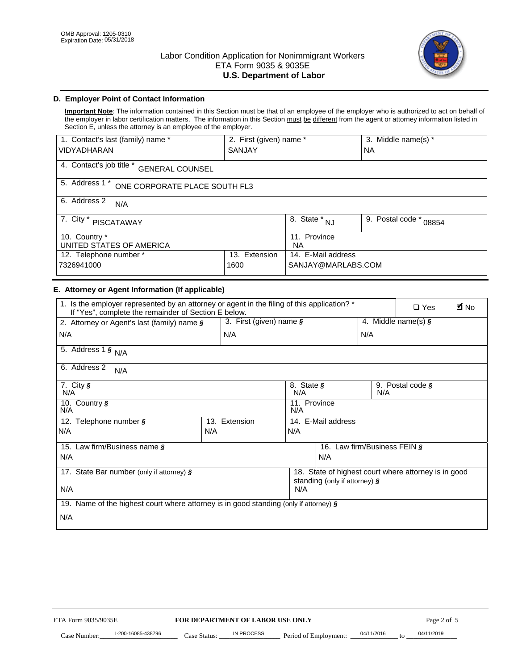

# **D. Employer Point of Contact Information**

**Important Note**: The information contained in this Section must be that of an employee of the employer who is authorized to act on behalf of the employer in labor certification matters. The information in this Section must be different from the agent or attorney information listed in Section E, unless the attorney is an employee of the employer.

| 1. Contact's last (family) name *                  | 2. First (given) name *   |                                       | 3. Middle name(s) *       |  |
|----------------------------------------------------|---------------------------|---------------------------------------|---------------------------|--|
| <b>VIDYADHARAN</b>                                 | <b>SANJAY</b>             |                                       | <b>NA</b>                 |  |
| 4. Contact's job title *<br><b>GENERAL COUNSEL</b> |                           |                                       |                           |  |
| 5. Address 1 *<br>ONE CORPORATE PLACE SOUTH FL3    |                           |                                       |                           |  |
| 6. Address 2<br>N/A                                |                           |                                       |                           |  |
| 7. City $*$<br>PISCATAWAY                          |                           | $\overline{8}$ . State *<br><b>NJ</b> | 9. Postal code *<br>08854 |  |
| 10. Country *<br>UNITED STATES OF AMERICA          | 11. Province<br><b>NA</b> |                                       |                           |  |
| Extension<br>12. Telephone number *<br>13.         |                           | 14. E-Mail address                    |                           |  |
| 7326941000<br>1600                                 |                           | SANJAY@MARLABS.COM                    |                           |  |

#### **E. Attorney or Agent Information (If applicable)**

| VIDYADHARAN                                                                                                                                         | SANJAY                           |                     |                                           | <b>NA</b>        |                                                      |             |
|-----------------------------------------------------------------------------------------------------------------------------------------------------|----------------------------------|---------------------|-------------------------------------------|------------------|------------------------------------------------------|-------------|
| 4. Contact's job title * GENERAL COUNSEL                                                                                                            |                                  |                     |                                           |                  |                                                      |             |
| 5. Address 1 * ONE CORPORATE PLACE SOUTH FL3                                                                                                        |                                  |                     |                                           |                  |                                                      |             |
| 6. Address 2<br>N/A                                                                                                                                 |                                  |                     |                                           |                  |                                                      |             |
| 7. City * PISCATAWAY                                                                                                                                |                                  |                     | $\overline{\phantom{a}}$ 8. State $^*$ NJ | 9. Postal code * | 08854                                                |             |
| 10. Country *<br>UNITED STATES OF AMERICA                                                                                                           |                                  | 11. Province<br>NA. |                                           |                  |                                                      |             |
| 12. Telephone number *<br>7326941000                                                                                                                | 13. Extension<br>1600            |                     | 14. E-Mail address<br>SANJAY@MARLABS.COM  |                  |                                                      |             |
| E. Attorney or Agent Information (If applicable)                                                                                                    |                                  |                     |                                           |                  |                                                      |             |
| 1. Is the employer represented by an attorney or agent in the filing of this application? *<br>If "Yes", complete the remainder of Section E below. |                                  |                     |                                           |                  | $\Box$ Yes                                           | <b>A</b> No |
| 2. Attorney or Agent's last (family) name §                                                                                                         | 3. First (given) name $\S$       |                     |                                           |                  | 4. Middle name(s) $\sqrt{s}$                         |             |
| N/A                                                                                                                                                 | N/A                              |                     |                                           | N/A              |                                                      |             |
| 5. Address 1 $\frac{1}{9}$ N/A                                                                                                                      |                                  |                     |                                           |                  |                                                      |             |
| 6. Address 2<br>N/A                                                                                                                                 |                                  |                     |                                           |                  |                                                      |             |
| $7.$ City $\frac{1}{9}$<br>N/A                                                                                                                      |                                  | 8. State §<br>N/A   |                                           | N/A              | 9. Postal code §                                     |             |
| 10. Country §<br>N/A                                                                                                                                |                                  | 11. Province<br>N/A |                                           |                  |                                                      |             |
| 12. Telephone number §                                                                                                                              | 13. Extension                    |                     | 14. E-Mail address                        |                  |                                                      |             |
| N/A                                                                                                                                                 | N/A                              | N/A                 |                                           |                  |                                                      |             |
| 15. Law firm/Business name §                                                                                                                        |                                  |                     | 16. Law firm/Business FEIN §              |                  |                                                      |             |
| N/A                                                                                                                                                 |                                  |                     | N/A                                       |                  |                                                      |             |
| 17. State Bar number (only if attorney) §                                                                                                           |                                  |                     | standing (only if attorney) §             |                  | 18. State of highest court where attorney is in good |             |
| N/A                                                                                                                                                 |                                  | N/A                 |                                           |                  |                                                      |             |
| 19. Name of the highest court where attorney is in good standing (only if attorney) §                                                               |                                  |                     |                                           |                  |                                                      |             |
| N/A                                                                                                                                                 |                                  |                     |                                           |                  |                                                      |             |
|                                                                                                                                                     |                                  |                     |                                           |                  |                                                      |             |
|                                                                                                                                                     |                                  |                     |                                           |                  |                                                      |             |
|                                                                                                                                                     |                                  |                     |                                           |                  |                                                      |             |
|                                                                                                                                                     |                                  |                     |                                           |                  |                                                      |             |
|                                                                                                                                                     |                                  |                     |                                           |                  |                                                      |             |
|                                                                                                                                                     |                                  |                     |                                           |                  |                                                      |             |
|                                                                                                                                                     |                                  |                     |                                           |                  |                                                      |             |
| ETA Form 9035/9035E                                                                                                                                 | FOR DEPARTMENT OF LABOR USE ONLY |                     |                                           |                  | Page 2 of 5                                          |             |
| I-200-16085-438796                                                                                                                                  | <b>IN PROCESS</b>                |                     |                                           | 04/11/2016       | 04/11/2019                                           |             |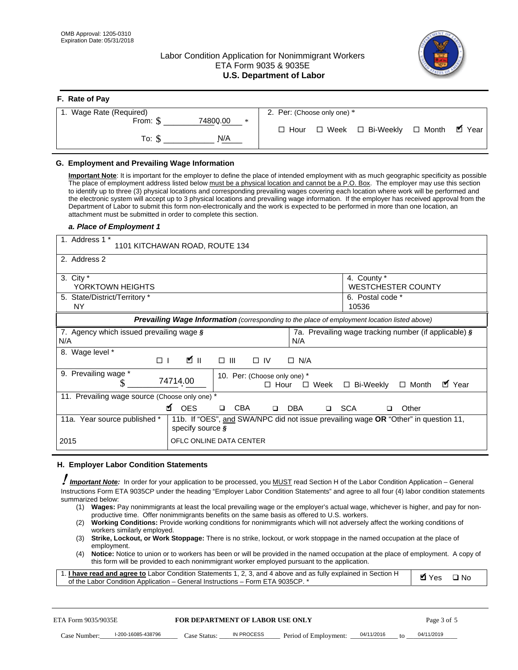**F. Rate of Pay** 

# Labor Condition Application for Nonimmigrant Workers ETA Form 9035 & 9035E **U.S. Department of Labor**



| <b>F. Rate of Pay</b>       |                                                     |
|-----------------------------|-----------------------------------------------------|
| 1. Wage Rate (Required)     | 2. Per: (Choose only one) *                         |
| 74800.00<br>From: \$<br>$*$ | □ Month ■ Year<br>□ Week □ Bi-Weekly<br>$\Box$ Hour |
| N/A<br>To: \$               |                                                     |

## **G. Employment and Prevailing Wage Information**

#### *a. Place of Employment 1*

|      | From: \$                                                                                                                                                                                                                                                                                                                                                                                                                                                                                                                                                                                                                                                                                                                                                                                                                                                              | 74800.00<br>$\ast$<br>To: $\S$<br>N/A                                                                                                                                                                                                                                                                                                                                                                                                                                                                                                                                                                                                                                                                                                | $\Box$ Hour                                 |             | $\Box$ Week $\Box$ Bi-Weekly                                 | $\Box$ Month | $\blacksquare$ Year |
|------|-----------------------------------------------------------------------------------------------------------------------------------------------------------------------------------------------------------------------------------------------------------------------------------------------------------------------------------------------------------------------------------------------------------------------------------------------------------------------------------------------------------------------------------------------------------------------------------------------------------------------------------------------------------------------------------------------------------------------------------------------------------------------------------------------------------------------------------------------------------------------|--------------------------------------------------------------------------------------------------------------------------------------------------------------------------------------------------------------------------------------------------------------------------------------------------------------------------------------------------------------------------------------------------------------------------------------------------------------------------------------------------------------------------------------------------------------------------------------------------------------------------------------------------------------------------------------------------------------------------------------|---------------------------------------------|-------------|--------------------------------------------------------------|--------------|---------------------|
|      | G. Employment and Prevailing Wage Information<br>Important Note: It is important for the employer to define the place of intended employment with as much geographic specificity as possible<br>The place of employment address listed below must be a physical location and cannot be a P.O. Box. The employer may use this section<br>to identify up to three (3) physical locations and corresponding prevailing wages covering each location where work will be performed and<br>the electronic system will accept up to 3 physical locations and prevailing wage information. If the employer has received approval from the<br>Department of Labor to submit this form non-electronically and the work is expected to be performed in more than one location, an<br>attachment must be submitted in order to complete this section.<br>a. Place of Employment 1 |                                                                                                                                                                                                                                                                                                                                                                                                                                                                                                                                                                                                                                                                                                                                      |                                             |             |                                                              |              |                     |
|      | 1. Address 1 *                                                                                                                                                                                                                                                                                                                                                                                                                                                                                                                                                                                                                                                                                                                                                                                                                                                        | 1101 KITCHAWAN ROAD, ROUTE 134                                                                                                                                                                                                                                                                                                                                                                                                                                                                                                                                                                                                                                                                                                       |                                             |             |                                                              |              |                     |
|      | 2. Address 2                                                                                                                                                                                                                                                                                                                                                                                                                                                                                                                                                                                                                                                                                                                                                                                                                                                          |                                                                                                                                                                                                                                                                                                                                                                                                                                                                                                                                                                                                                                                                                                                                      |                                             |             |                                                              |              |                     |
|      | 3. City $*$<br>YORKTOWN HEIGHTS<br>5. State/District/Territory *                                                                                                                                                                                                                                                                                                                                                                                                                                                                                                                                                                                                                                                                                                                                                                                                      |                                                                                                                                                                                                                                                                                                                                                                                                                                                                                                                                                                                                                                                                                                                                      |                                             |             | 4. County *<br><b>WESTCHESTER COUNTY</b><br>6. Postal code * |              |                     |
|      | ΝY                                                                                                                                                                                                                                                                                                                                                                                                                                                                                                                                                                                                                                                                                                                                                                                                                                                                    |                                                                                                                                                                                                                                                                                                                                                                                                                                                                                                                                                                                                                                                                                                                                      |                                             |             | 10536                                                        |              |                     |
|      |                                                                                                                                                                                                                                                                                                                                                                                                                                                                                                                                                                                                                                                                                                                                                                                                                                                                       | Prevailing Wage Information (corresponding to the place of employment location listed above)                                                                                                                                                                                                                                                                                                                                                                                                                                                                                                                                                                                                                                         |                                             |             |                                                              |              |                     |
| N/A  | 7. Agency which issued prevailing wage §                                                                                                                                                                                                                                                                                                                                                                                                                                                                                                                                                                                                                                                                                                                                                                                                                              |                                                                                                                                                                                                                                                                                                                                                                                                                                                                                                                                                                                                                                                                                                                                      | N/A                                         |             | 7a. Prevailing wage tracking number (if applicable) §        |              |                     |
|      | 8. Wage level *<br>$\Box$                                                                                                                                                                                                                                                                                                                                                                                                                                                                                                                                                                                                                                                                                                                                                                                                                                             | <b>M</b><br>$\Box$<br>III                                                                                                                                                                                                                                                                                                                                                                                                                                                                                                                                                                                                                                                                                                            | $\Box$ IV<br>$\Box$ N/A                     |             |                                                              |              |                     |
|      | 9. Prevailing wage *<br>S                                                                                                                                                                                                                                                                                                                                                                                                                                                                                                                                                                                                                                                                                                                                                                                                                                             | 74714.00                                                                                                                                                                                                                                                                                                                                                                                                                                                                                                                                                                                                                                                                                                                             | 10. Per: (Choose only one) *<br>$\Box$ Hour | $\Box$ Week | □ Bi-Weekly                                                  | $\Box$ Month | ■ Year              |
|      | 11. Prevailing wage source (Choose only one) *                                                                                                                                                                                                                                                                                                                                                                                                                                                                                                                                                                                                                                                                                                                                                                                                                        | <b>¤</b> OES<br><b>CBA</b><br>$\Box$                                                                                                                                                                                                                                                                                                                                                                                                                                                                                                                                                                                                                                                                                                 | DBA<br>$\Box$                               | □ SCA       | □                                                            | Other        |                     |
|      | 11a. Year source published *                                                                                                                                                                                                                                                                                                                                                                                                                                                                                                                                                                                                                                                                                                                                                                                                                                          | 11b. If "OES", and SWA/NPC did not issue prevailing wage OR "Other" in question 11,<br>specify source $\boldsymbol{\S}$                                                                                                                                                                                                                                                                                                                                                                                                                                                                                                                                                                                                              |                                             |             |                                                              |              |                     |
| 2015 |                                                                                                                                                                                                                                                                                                                                                                                                                                                                                                                                                                                                                                                                                                                                                                                                                                                                       | OFLC ONLINE DATA CENTER                                                                                                                                                                                                                                                                                                                                                                                                                                                                                                                                                                                                                                                                                                              |                                             |             |                                                              |              |                     |
|      | H. Employer Labor Condition Statements                                                                                                                                                                                                                                                                                                                                                                                                                                                                                                                                                                                                                                                                                                                                                                                                                                |                                                                                                                                                                                                                                                                                                                                                                                                                                                                                                                                                                                                                                                                                                                                      |                                             |             |                                                              |              |                     |
|      | <b>Important Note:</b> In order for your application to be processed, you MUST read Section H of the Labor Condition Application - General<br>Instructions Form ETA 9035CP under the heading "Employer Labor Condition Statements" and agree to all four (4) labor condition statements<br>summarized below:<br>(1)<br>(2)<br>workers similarly employed.<br>(3)<br>employment.<br>(4)<br>1. I have read and agree to Labor Condition Statements 1, 2, 3, and 4 above and as fully explained in Section H<br>of the Labor Condition Application - General Instructions - Form ETA 9035CP. *                                                                                                                                                                                                                                                                           | Wages: Pay nonimmigrants at least the local prevailing wage or the employer's actual wage, whichever is higher, and pay for non-<br>productive time. Offer nonimmigrants benefits on the same basis as offered to U.S. workers.<br><b>Working Conditions:</b> Provide working conditions for nonimmigrants which will not adversely affect the working conditions of<br>Strike, Lockout, or Work Stoppage: There is no strike, lockout, or work stoppage in the named occupation at the place of<br>Notice: Notice to union or to workers has been or will be provided in the named occupation at the place of employment. A copy of<br>this form will be provided to each nonimmigrant worker employed pursuant to the application. |                                             |             |                                                              | <b>Ø</b> Yes | $\square$ No        |
|      | ETA Form 9035/9035E                                                                                                                                                                                                                                                                                                                                                                                                                                                                                                                                                                                                                                                                                                                                                                                                                                                   | <b>FOR DEPARTMENT OF LABOR USE ONLY</b>                                                                                                                                                                                                                                                                                                                                                                                                                                                                                                                                                                                                                                                                                              |                                             |             |                                                              | Page 3 of 5  |                     |
|      | I-200-16085-438796<br>Case Number:                                                                                                                                                                                                                                                                                                                                                                                                                                                                                                                                                                                                                                                                                                                                                                                                                                    | IN PROCESS<br>Case Status: .                                                                                                                                                                                                                                                                                                                                                                                                                                                                                                                                                                                                                                                                                                         | Period of Employment:                       |             | 04/11/2016                                                   | 04/11/2019   |                     |

#### **H. Employer Labor Condition Statements**

- (1) **Wages:** Pay nonimmigrants at least the local prevailing wage or the employer's actual wage, whichever is higher, and pay for nonproductive time. Offer nonimmigrants benefits on the same basis as offered to U.S. workers.
- (2) **Working Conditions:** Provide working conditions for nonimmigrants which will not adversely affect the working conditions of workers similarly employed.
- (3) **Strike, Lockout, or Work Stoppage:** There is no strike, lockout, or work stoppage in the named occupation at the place of employment.
- (4) **Notice:** Notice to union or to workers has been or will be provided in the named occupation at the place of employment. A copy of this form will be provided to each nonimmigrant worker employed pursuant to the application.

| 1. I have read and agree to Labor Condition Statements 1, 2, 3, and 4 above and as fully explained in Section H | $\blacksquare$ Yes $\square$ No |  |
|-----------------------------------------------------------------------------------------------------------------|---------------------------------|--|
| of the Labor Condition Application – General Instructions – Form ETA 9035CP. *                                  |                                 |  |

| ETA Form 9035/9035E |                    | <b>FOR DEPARTMENT OF LABOR USE ONLY</b> |            |                                      |  |           | Page 3 of 5 |
|---------------------|--------------------|-----------------------------------------|------------|--------------------------------------|--|-----------|-------------|
| Case Number:        | l-200-16085-438796 | Case Status:                            | IN PROCESS | Period of Employment: ____04/11/2016 |  | $\sim$ to | 04/11/2019  |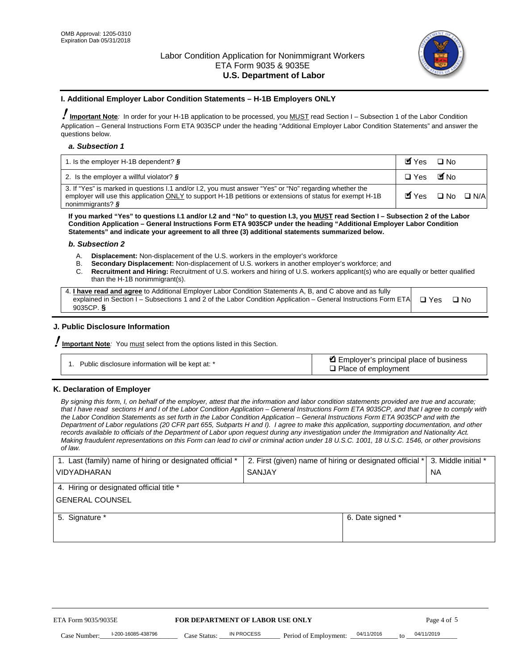

#### **I. Additional Employer Labor Condition Statements – H-1B Employers ONLY**

!**Important Note***:* In order for your H-1B application to be processed, you MUST read Section I – Subsection 1 of the Labor Condition Application – General Instructions Form ETA 9035CP under the heading "Additional Employer Labor Condition Statements" and answer the questions below.

#### *a. Subsection 1*

| 1. Is the employer H-1B dependent? $\S$                                                                                                                                                                                                 | Myes                                          | $\Box$ No              |  |
|-----------------------------------------------------------------------------------------------------------------------------------------------------------------------------------------------------------------------------------------|-----------------------------------------------|------------------------|--|
| 2. Is the employer a willful violator? $\frac{1}{2}$                                                                                                                                                                                    | $\Box$ Yes                                    | <b>M</b> <sub>No</sub> |  |
| 3. If "Yes" is marked in questions 1.1 and/or 1.2, you must answer "Yes" or "No" regarding whether the<br>employer will use this application ONLY to support H-1B petitions or extensions of status for exempt H-1B<br>nonimmigrants? § | $\blacksquare$ Yes $\square$ No $\square$ N/A |                        |  |

**If you marked "Yes" to questions I.1 and/or I.2 and "No" to question I.3, you MUST read Section I – Subsection 2 of the Labor Condition Application – General Instructions Form ETA 9035CP under the heading "Additional Employer Labor Condition Statements" and indicate your agreement to all three (3) additional statements summarized below.** 

#### *b. Subsection 2*

- A. **Displacement:** Non-displacement of the U.S. workers in the employer's workforce
- B. **Secondary Displacement:** Non-displacement of U.S. workers in another employer's workforce; and
- C. **Recruitment and Hiring:** Recruitment of U.S. workers and hiring of U.S. workers applicant(s) who are equally or better qualified than the H-1B nonimmigrant(s).

| 4. I have read and agree to Additional Employer Labor Condition Statements A, B, and C above and as fully                  |      |
|----------------------------------------------------------------------------------------------------------------------------|------|
| explained in Section I – Subsections 1 and 2 of the Labor Condition Application – General Instructions Form ETA $\Box$ Yes | ∩ N∩ |
| 9035CP. $\delta$                                                                                                           |      |

# **J. Public Disclosure Information**

!**Important Note***:* You must select from the options listed in this Section.

| Public disclosure information will be kept at: * | Employer's principal place of business<br>$\Box$ Place of employment |
|--------------------------------------------------|----------------------------------------------------------------------|
|--------------------------------------------------|----------------------------------------------------------------------|

# **K. Declaration of Employer**

*By signing this form, I, on behalf of the employer, attest that the information and labor condition statements provided are true and accurate;*  that I have read sections H and I of the Labor Condition Application – General Instructions Form ETA 9035CP, and that I agree to comply with *the Labor Condition Statements as set forth in the Labor Condition Application – General Instructions Form ETA 9035CP and with the Department of Labor regulations (20 CFR part 655, Subparts H and I). I agree to make this application, supporting documentation, and other records available to officials of the Department of Labor upon request during any investigation under the Immigration and Nationality Act. Making fraudulent representations on this Form can lead to civil or criminal action under 18 U.S.C. 1001, 18 U.S.C. 1546, or other provisions of law.* 

| 1. Last (family) name of hiring or designated official * | 2. First (given) name of hiring or designated official * |                                       | 3. Middle initial * |  |
|----------------------------------------------------------|----------------------------------------------------------|---------------------------------------|---------------------|--|
| <b>VIDYADHARAN</b>                                       | <b>SANJAY</b>                                            |                                       | <b>NA</b>           |  |
| 4. Hiring or designated official title *                 |                                                          |                                       |                     |  |
| <b>GENERAL COUNSEL</b>                                   |                                                          |                                       |                     |  |
| 5. Signature *                                           |                                                          |                                       | 6. Date signed *    |  |
|                                                          |                                                          |                                       |                     |  |
|                                                          |                                                          |                                       |                     |  |
|                                                          |                                                          |                                       |                     |  |
|                                                          |                                                          |                                       |                     |  |
| ETA Form 9035/9035E                                      | FOR DEPARTMENT OF LABOR USE ONLY                         |                                       | Page 4 of 5         |  |
| I-200-16085-438796<br>Case Number<br>Case Status:        | IN PROCESS<br>Period of Employment:                      | 04/11/2016<br>$\mathbf{f} \mathbf{O}$ | 04/11/2019          |  |